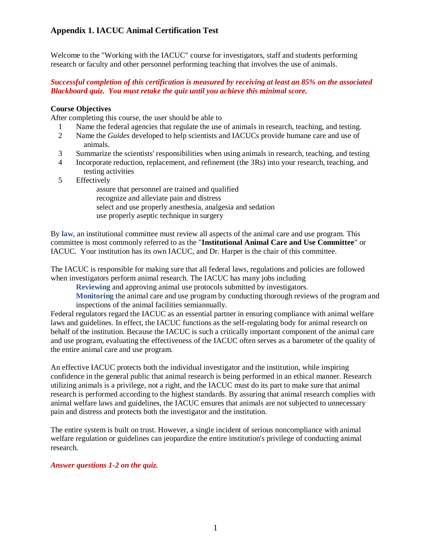Welcome to the "Working with the IACUC" course for investigators, staff and students performing research or faculty and other personnel performing teaching that involves the use of animals.

### *Successful completion of this certification is measured by receiving at least an 85% on the associated Blackboard quiz. You must retake the quiz until you achieve this minimal score.*

### **Course Objectives**

After completing this course, the user should be able to

- 1 Name the federal agencies that regulate the use of animals in research, teaching, and testing.
- 2 Name the *Guides* developed to help scientists and IACUCs provide humane care and use of animals.
- 3 Summarize the scientists' responsibilities when using animals in research, teaching, and testing
- 4 Incorporate reduction, replacement, and refinement (the 3Rs) into your research, teaching, and testing activities
- 5 Effectively

assure that personnel are trained and qualified recognize and alleviate pain and distress select and use properly anesthesia, analgesia and sedation use properly aseptic technique in surgery

By **[law](http://grants.nih.gov/grants/olaw/references/phspol.htm)**, an institutional committee must review all aspects of the animal care and use program. This committee is most commonly referred to as the "**Institutional Animal Care and Use Committee**" or IACUC. Your institution has its own IACUC, and Dr. Harper is the chair of this committee.

The IACUC is responsible for making sure that all federal laws, regulations and policies are followed when investigators perform animal research. The IACUC has many jobs including

**[Reviewing](https://www.citiprogram.org/members/index.cfm?pageID=171&intReferenceID=27599)** and approving animal use protocols submitted by investigators.

**[Monitoring](https://www.citiprogram.org/members/index.cfm?pageID=171&intReferenceID=27600)** the animal care and use program by conducting thorough reviews of the program and inspections of the animal facilities semiannually.

Federal regulators regard the IACUC as an essential partner in ensuring compliance with animal welfare laws and guidelines. In effect, the IACUC functions as the self-regulating body for animal research on behalf of the institution. Because the IACUC is such a critically important component of the animal care and use program, evaluating the effectiveness of the IACUC often serves as a barometer of the quality of the entire animal care and use program.

An effective IACUC protects both the individual investigator and the institution, while inspiring confidence in the general public that animal research is being performed in an ethical manner. Research utilizing animals is a privilege, not a right, and the IACUC must do its part to make sure that animal research is performed according to the highest standards. By assuring that animal research complies with animal welfare laws and guidelines, the IACUC ensures that animals are not subjected to unnecessary pain and distress and protects both the investigator and the institution.

The entire system is built on trust. However, a single incident of serious noncompliance with animal welfare regulation or guidelines can jeopardize the entire institution's privilege of conducting animal research.

### *Answer questions 1-2 on the quiz.*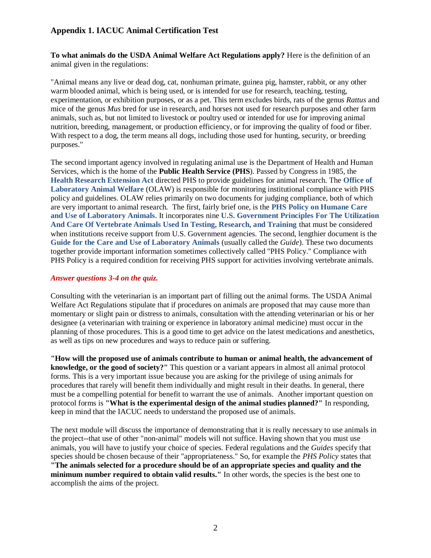**To what animals do the USDA Animal Welfare Act Regulations apply?** Here is the definition of an animal given in the regulations:

"Animal means any live or dead dog, cat, nonhuman primate, guinea pig, hamster, rabbit, or any other warm blooded animal, which is being used, or is intended for use for research, teaching, testing, experimentation, or exhibition purposes, or as a pet. This term excludes birds, rats of the genus *Rattus* and mice of the genus *Mus* bred for use in research, and horses not used for research purposes and other farm animals, such as, but not limited to livestock or poultry used or intended for use for improving animal nutrition, breeding, management, or production efficiency, or for improving the quality of food or fiber. With respect to a dog, the term means all dogs, including those used for hunting, security, or breeding purposes."

The second important agency involved in regulating animal use is the Department of Health and Human Services, which is the home of the **Public Health Service (PHS**). Passed by Congress in 1985, the **[Health Research Extension Act](http://grants.nih.gov/grants/olaw/references/hrea1985.htm)** directed PHS to provide guidelines for animal research. The **[Office of](http://grants.nih.gov/grants/olaw/olaw.htm)  [Laboratory Animal Welfare](http://grants.nih.gov/grants/olaw/olaw.htm)** (OLAW) is responsible for monitoring institutional compliance with PHS policy and guidelines. OLAW relies primarily on two documents for judging compliance, both of which are very important to animal research. The first, fairly brief one, is the **[PHS Policy on Humane Care](http://grants.nih.gov/grants/olaw/references/phspol.htm)  [and Use of Laboratory Animals](http://grants.nih.gov/grants/olaw/references/phspol.htm)**. It incorporates nine **[U.S. Government Principles For The Utilization](http://grants.nih.gov/grants/olaw/references/phspol.htm#USGovPrinciples)  [And Care Of Vertebrate Animals Used In Testing, Research, and Training](http://grants.nih.gov/grants/olaw/references/phspol.htm#USGovPrinciples)** that must be considered when institutions receive support from U.S. Government agencies. The second, lengthier document is the **[Guide for the Care and Use of Laboratory Animals](http://grants.nih.gov/grants/olaw/guide-for-the-care-and-use-of-laboratory-animals.pdf)** (usually called the *Guide*). These two documents together provide important information sometimes collectively called "PHS Policy." Compliance with PHS Policy is a required condition for receiving PHS support for activities involving vertebrate animals.

#### *Answer questions 3-4 on the quiz.*

Consulting with the veterinarian is an important part of filling out the animal forms. The USDA Animal Welfare Act Regulations stipulate that if procedures on animals are proposed that may cause more than momentary or slight pain or distress to animals, consultation with the attending veterinarian or his or her designee (a veterinarian with training or experience in laboratory animal medicine) must occur in the planning of those procedures. This is a good time to get advice on the latest medications and anesthetics, as well as tips on new procedures and ways to reduce pain or suffering.

**"How will the proposed use of animals contribute to human or animal health, the advancement of knowledge, or the good of society?"** This question or a variant appears in almost all animal protocol forms. This is a very important issue because you are asking for the privilege of using animals for procedures that rarely will benefit them individually and might result in their deaths. In general, there must be a compelling potential for benefit to warrant the use of animals. Another important question on protocol forms is **"What is the experimental design of the animal studies planned?"** In responding, keep in mind that the IACUC needs to understand the proposed use of animals.

The next module will discuss the importance of demonstrating that it is really necessary to use animals in the project--that use of other "non-animal" models will not suffice. Having shown that you must use animals, you will have to justify your choice of species. Federal regulations and the *Guides* specify that species should be chosen because of their "appropriateness." So, for example the *PHS Policy* states that **"The animals selected for a procedure should be of an appropriate species and quality and the minimum number required to obtain valid results."** In other words, the species is the best one to accomplish the aims of the project.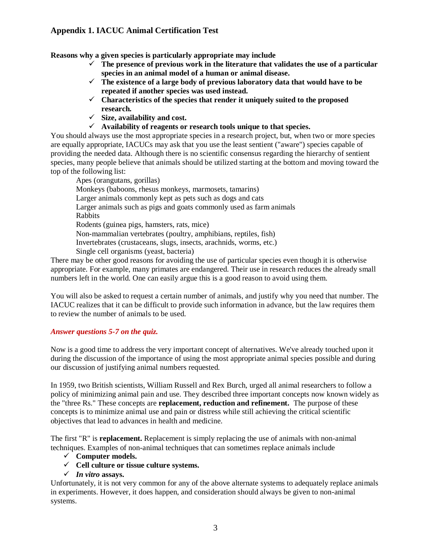**Reasons why a given species is particularly appropriate may include**

- ✓ **The presence of previous work in the literature that validates the use of a particular species in an animal model of a human or animal disease.**
- ✓ **The existence of a large body of previous laboratory data that would have to be repeated if another species was used instead.**
- ✓ **Characteristics of the species that render it uniquely suited to the proposed research.**
- ✓ **Size, availability and cost.**
- ✓ **Availability of reagents or research tools unique to that species.**

You should always use the most appropriate species in a research project, but, when two or more species are equally appropriate, IACUCs may ask that you use the least sentient ("aware") species capable of providing the needed data. Although there is no scientific consensus regarding the hierarchy of sentient species, many people believe that animals should be utilized starting at the bottom and moving toward the top of the following list:

Apes (orangutans, gorillas) Monkeys (baboons, rhesus monkeys, marmosets, tamarins) Larger animals commonly kept as pets such as dogs and cats Larger animals such as pigs and goats commonly used as farm animals Rabbits Rodents (guinea pigs, hamsters, rats, mice) Non-mammalian vertebrates (poultry, amphibians, reptiles, fish) Invertebrates (crustaceans, slugs, insects, arachnids, worms, etc.) Single cell organisms (yeast, bacteria)

There may be other good reasons for avoiding the use of particular species even though it is otherwise appropriate. For example, many primates are endangered. Their use in research reduces the already small numbers left in the world. One can easily argue this is a good reason to avoid using them.

You will also be asked to request a certain number of animals, and justify why you need that number. The IACUC realizes that it can be difficult to provide such information in advance, but the law requires them to review the number of animals to be used.

### *Answer questions 5-7 on the quiz.*

Now is a good time to address the very important concept of alternatives. We've already touched upon it during the discussion of the importance of using the most appropriate animal species possible and during our discussion of justifying animal numbers requested.

In 1959, two British scientists, William Russell and Rex Burch, urged all animal researchers to follow a policy of minimizing animal pain and use. They described three important concepts now known widely as the "three Rs." These concepts are **replacement, reduction and refinement.** The purpose of these concepts is to minimize animal use and pain or distress while still achieving the critical scientific objectives that lead to advances in health and medicine.

The first "R" is **replacement.** Replacement is simply replacing the use of animals with non-animal techniques. Examples of non-animal techniques that can sometimes replace animals include

- ✓ **Computer models.**
- ✓ **Cell culture or tissue culture systems.**
- ✓ *In vitro* **assays.**

Unfortunately, it is not very common for any of the above alternate systems to adequately replace animals in experiments. However, it does happen, and consideration should always be given to non-animal systems.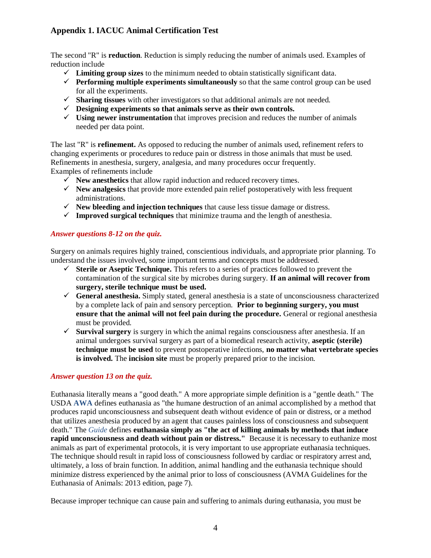The second "R" is **reduction**. Reduction is simply reducing the number of animals used. Examples of reduction include

- $\checkmark$  Limiting group sizes to the minimum needed to obtain statistically significant data.
- ✓ **Performing multiple experiments simultaneously** so that the same control group can be used for all the experiments.
- ✓ **Sharing tissues** with other investigators so that additional animals are not needed.
- ✓ **Designing experiments so that animals serve as their own controls.**
- ✓ **Using newer instrumentation** that improves precision and reduces the number of animals needed per data point.

The last "R" is **refinement.** As opposed to reducing the number of animals used, refinement refers to changing experiments or procedures to reduce pain or distress in those animals that must be used. Refinements in anesthesia, surgery, analgesia, and many procedures occur frequently. Examples of refinements include

- $\checkmark$  **New anesthetics** that allow rapid induction and reduced recovery times.
- ✓ **New analgesics** that provide more extended pain relief postoperatively with less frequent administrations.
- ✓ **New bleeding and injection techniques** that cause less tissue damage or distress.
- ✓ **Improved surgical techniques** that minimize trauma and the length of anesthesia.

### *Answer questions 8-12 on the quiz.*

Surgery on animals requires highly trained, conscientious individuals, and appropriate prior planning. To understand the issues involved, some important terms and concepts must be addressed.

- $\checkmark$  **Sterile or Aseptic Technique.** This refers to a series of practices followed to prevent the contamination of the surgical site by microbes during surgery. **If an animal will recover from surgery, sterile technique must be used.**
- ✓ **General anesthesia.** Simply stated, general anesthesia is a state of unconsciousness characterized by a complete lack of pain and sensory perception. **Prior to beginning surgery, you must ensure that the animal will not feel pain during the procedure.** General or regional anesthesia must be provided.
- ✓ **Survival surgery** is surgery in which the animal regains consciousness after anesthesia. If an animal undergoes survival surgery as part of a biomedical research activity, **aseptic (sterile) technique must be used** to prevent postoperative infections, **no matter what vertebrate species is involved.** The **incision site** must be properly prepared prior to the incision.

### *Answer question 13 on the quiz.*

Euthanasia literally means a "good death." A more appropriate simple definition is a "gentle death." The USDA **[AWA](https://www.citiprogram.org/members/index.cfm?pageID=171&intReferenceID=27670)** defines euthanasia as "the humane destruction of an animal accomplished by a method that produces rapid unconsciousness and subsequent death without evidence of pain or distress, or a method that utilizes anesthesia produced by an agent that causes painless loss of consciousness and subsequent death." The *[Guide](https://www.citiprogram.org/members/index.cfm?pageID=171&intReferenceID=27687)* defines **euthanasia simply as "the act of killing animals by methods that induce rapid unconsciousness and death without pain or distress."** Because it is necessary to euthanize most animals as part of experimental protocols, it is very important to use appropriate euthanasia techniques. The technique should result in rapid loss of consciousness followed by cardiac or respiratory arrest and, ultimately, a loss of brain function. In addition, animal handling and the euthanasia technique should minimize distress experienced by the animal prior to loss of consciousness (AVMA Guidelines for the Euthanasia of Animals: 2013 edition, page 7).

Because improper technique can cause pain and suffering to animals during euthanasia, you must be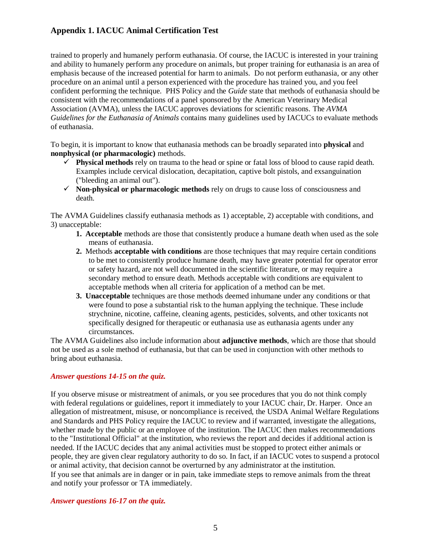trained to properly and humanely perform euthanasia. Of course, the IACUC is interested in your training and ability to humanely perform any procedure on animals, but proper training for euthanasia is an area of emphasis because of the increased potential for harm to animals. Do not perform euthanasia, or any other procedure on an animal until a person experienced with the procedure has trained you, and you feel confident performing the technique. PHS Policy and the *Guide* state that methods of euthanasia should be consistent with the recommendations of a panel sponsored by the American Veterinary Medical Association (AVMA), unless the IACUC approves deviations for scientific reasons. The *AVMA Guidelines for the Euthanasia of Animals* contains many guidelines used by IACUCs to evaluate methods of euthanasia.

To begin, it is important to know that euthanasia methods can be broadly separated into **physical** and **nonphysical (or pharmacologic)** methods.

- ✓ **Physical methods** rely on trauma to the head or spine or fatal loss of blood to cause rapid death. Examples include cervical dislocation, decapitation, captive bolt pistols, and exsanguination ("bleeding an animal out").
- ✓ **Non-physical or pharmacologic methods** rely on drugs to cause loss of consciousness and death.

The AVMA Guidelines classify euthanasia methods as 1) acceptable, 2) acceptable with conditions, and 3) unacceptable:

- **1. Acceptable** methods are those that consistently produce a humane death when used as the sole means of euthanasia.
- **2.** Methods **acceptable with conditions** are those techniques that may require certain conditions to be met to consistently produce humane death, may have greater potential for operator error or safety hazard, are not well documented in the scientific literature, or may require a secondary method to ensure death. Methods acceptable with conditions are equivalent to acceptable methods when all criteria for application of a method can be met.
- **3. Unacceptable** techniques are those methods deemed inhumane under any conditions or that were found to pose a substantial risk to the human applying the technique. These include strychnine, nicotine, caffeine, cleaning agents, pesticides, solvents, and other toxicants not specifically designed for therapeutic or euthanasia use as euthanasia agents under any circumstances.

The AVMA Guidelines also include information about **adjunctive methods**, which are those that should not be used as a sole method of euthanasia, but that can be used in conjunction with other methods to bring about euthanasia.

### *Answer questions 14-15 on the quiz.*

If you observe misuse or mistreatment of animals, or you see procedures that you do not think comply with federal regulations or guidelines, report it immediately to your IACUC chair, Dr. Harper. Once an allegation of mistreatment, misuse, or noncompliance is received, the USDA Animal Welfare Regulations and Standards and PHS Policy require the IACUC to review and if warranted, investigate the allegations, whether made by the public or an employee of the institution. The IACUC then makes recommendations to the "Institutional Official" at the institution, who reviews the report and decides if additional action is needed. If the IACUC decides that any animal activities must be stopped to protect either animals or people, they are given clear regulatory authority to do so. In fact, if an IACUC votes to suspend a protocol or animal activity, that decision cannot be overturned by any administrator at the institution. If you see that animals are in danger or in pain, take immediate steps to remove animals from the threat and notify your professor or TA immediately.

### *Answer questions 16-17 on the quiz.*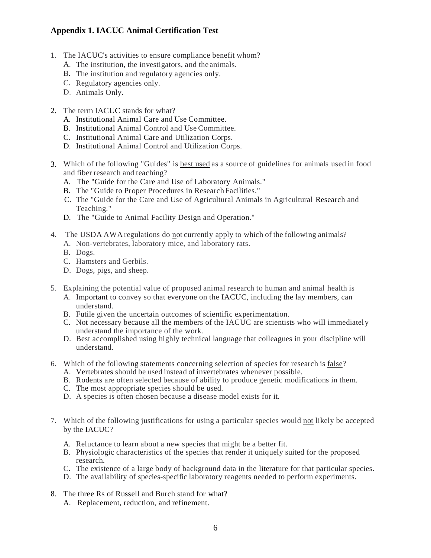- 1. The IACUC's activities to ensure compliance benefit whom?
	- A. The institution, the investigators, and the animals.
	- B. The institution and regulatory agencies only.
	- C. Regulatory agencies only.
	- D. Animals Only.
- 2. The term IACUC stands for what?
	- A. Institutional Animal Care and Use Committee.
	- B. Institutional Animal Control and Use Committee.
	- C. Institutional Animal Care and Utilization Corps.
	- D. Institutional Animal Control and Utilization Corps.
- 3. Which of the following "Guides" is best used as a source of guidelines for animals used in food and fiber research and teaching?
	- A. The "Guide for the Care and Use of Laboratory Animals."
	- B. The "Guide to Proper Procedures in Research Facilities."
	- C. The "Guide for the Care and Use of Agricultural Animals in Agricultural Research and Teaching."
	- D. The "Guide to Animal Facility Design and Operation."
- 4. The USDA AWA regulations do not currently apply to which of the following animals?
	- A. Non-vertebrates, laboratory mice, and laboratory rats.
	- B. Dogs.
	- C. Hamsters and Gerbils.
	- D. Dogs, pigs, and sheep.
- 5. Explaining the potential value of proposed animal research to human and animal health is
	- A. Important to convey so that everyone on the IACUC, including the lay members, can understand.
	- B. Futile given the uncertain outcomes of scientific experimentation.
	- C. Not necessary because all the members of the IACUC are scientists who will immediatel y understand the importance of the work.
	- D. Best accomplished using highly technical language that colleagues in your discipline will understand.
- 6. Which of the following statements concerning selection of species for research is false?
	- A. Vertebrates should be used instead of invertebrates whenever possible.
	- B. Rodents are often selected because of ability to produce genetic modifications in them.
	- C. The most appropriate species should be used.
	- D. A species is often chosen because a disease model exists for it.
- 7. Which of the following justifications for using a particular species would not likely be accepted by the IACUC?
	- A. Reluctance to learn about a new species that might be a better fit.
	- B. Physiologic characteristics of the species that render it uniquely suited for the proposed research.
	- C. The existence of a large body of background data in the literature for that particular species.
	- D. The availability of species-specific laboratory reagents needed to perform experiments.
- 8. The three Rs of Russell and Burch stand for what?
	- A. Replacement, reduction, and refinement.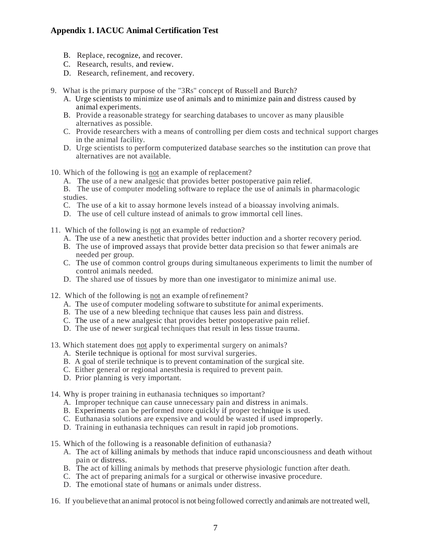- B. Replace, recognize, and recover.
- C. Research, results, and review.
- D. Research, refinement, and recovery.
- 9. What is the primary purpose of the "3Rs" concept of Russell and Burch?
	- A. Urge scientists to minimize use of animals and to minimize pain and distress caused by animal experiments.
	- B. Provide a reasonable strategy for searching databases to uncover as many plausible alternatives as possible.
	- C. Provide researchers with a means of controlling per diem costs and technical support charges in the animal facility.
	- D. Urge scientists to perform computerized database searches so the institution can prove that alternatives are not available.
- 10. Which of the following is not an example of replacement?
	- A. The use of a new analgesic that provides better postoperative pain relief.

B. The use of computer modeling software to replace the use of animals in pharmacologic studies.

- C. The use of a kit to assay hormone levels instead of a bioassay involving animals.
- D. The use of cell culture instead of animals to grow immortal cell lines.
- 11. Which of the following is not an example of reduction?
	- A. The use of a new anesthetic that provides better induction and a shorter recovery period.
	- B. The use of improved assays that provide better data precision so that fewer animals are needed per group.
	- C. The use of common control groups during simultaneous experiments to limit the number of control animals needed.
	- D. The shared use of tissues by more than one investigator to minimize animal use.
- 12. Which of the following is not an example ofrefinement?
	- A. The use of computer modeling software to substitute for animal experiments.
	- B. The use of a new bleeding technique that causes less pain and distress.
	- C. The use of a new analgesic that provides better postoperative pain relief.
	- D. The use of newer surgical techniques that result in less tissue trauma.
- 13. Which statement does not apply to experimental surgery on animals?
	- A. Sterile technique is optional for most survival surgeries.
	- B. A goal of sterile technique is to prevent contamination of the surgical site.
	- C. Either general or regional anesthesia is required to prevent pain.
	- D. Prior planning is very important.
- 14. Why is proper training in euthanasia techniques so important?
	- A. Improper technique can cause unnecessary pain and distress in animals.
	- B. Experiments can be performed more quickly if proper technique is used.
	- C. Euthanasia solutions are expensive and would be wasted if used improperly.
	- D. Training in euthanasia techniques can result in rapid job promotions.
- 15. Which of the following is a reasonable definition of euthanasia?
	- A. The act of killing animals by methods that induce rapid unconsciousness and death without pain or distress.
	- B. The act of killing animals by methods that preserve physiologic function after death.
	- C. The act of preparing animals for a surgical or otherwise invasive procedure.
	- D. The emotional state of humans or animals under distress.
- 16. If you believe that an animal protocol is not being followed correctly andanimals are nottreated well,